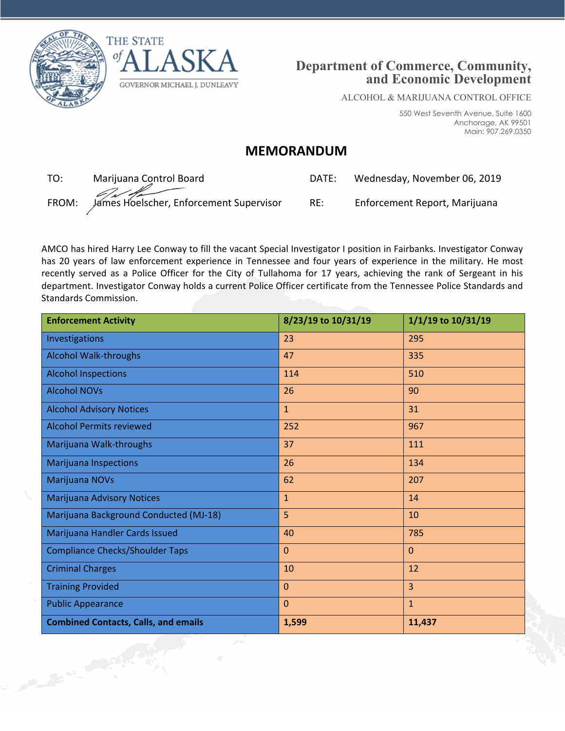





ALCOHOL & MARIJUANA CONTROL OFFICE

550 West Seventh Avenue, Suite 1600 Anchorage, AK 99501 Main: 907.269.0350

## **MEMORANDUM**

TO: Marijuana Control Board DATE: Wednesday, November 06, 2019 FROM: James Hoelscher, Enforcement Supervisor RE: Enforcement Report, Marijuana

| JA I E. | weanesday, November 06, 2019 |  |
|---------|------------------------------|--|
|         |                              |  |

AMCO has hired Harry Lee Conway to fill the vacant Special Investigator I position in Fairbanks. Investigator Conway has 20 years of law enforcement experience in Tennessee and four years of experience in the military. He most recently served as a Police Officer for the City of Tullahoma for 17 years, achieving the rank of Sergeant in his department. Investigator Conway holds a current Police Officer certificate from the Tennessee Police Standards and Standards Commission.

| <b>Enforcement Activity</b>                 | 8/23/19 to 10/31/19 | 1/1/19 to 10/31/19 |
|---------------------------------------------|---------------------|--------------------|
| Investigations                              | 23                  | 295                |
| <b>Alcohol Walk-throughs</b>                | 47                  | 335                |
| <b>Alcohol Inspections</b>                  | 114                 | 510                |
| <b>Alcohol NOVs</b>                         | 26                  | 90                 |
| <b>Alcohol Advisory Notices</b>             | $\mathbf{1}$        | 31                 |
| <b>Alcohol Permits reviewed</b>             | 252                 | 967                |
| Marijuana Walk-throughs                     | 37                  | 111                |
| <b>Marijuana Inspections</b>                | 26                  | 134                |
| Marijuana NOVs                              | 62                  | 207                |
| Marijuana Advisory Notices                  | $\mathbf{1}$        | 14                 |
| Marijuana Background Conducted (MJ-18)      | 5                   | 10                 |
| Marijuana Handler Cards Issued              | 40                  | 785                |
| <b>Compliance Checks/Shoulder Taps</b>      | $\mathbf{0}$        | $\Omega$           |
| <b>Criminal Charges</b>                     | 10                  | 12                 |
| <b>Training Provided</b>                    | $\mathbf{0}$        | $\overline{3}$     |
| <b>Public Appearance</b>                    | $\mathbf{0}$        | $\mathbf{1}$       |
| <b>Combined Contacts, Calls, and emails</b> | 1,599               | 11,437             |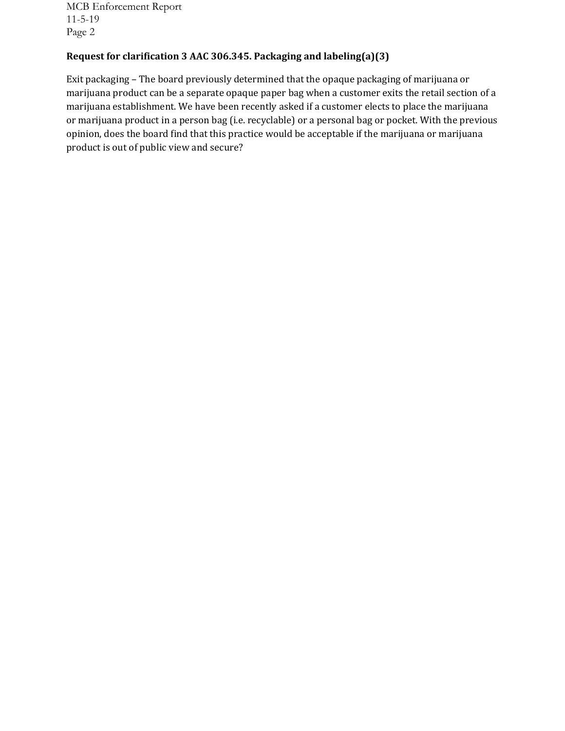MCB Enforcement Report 11-5-19 Page 2

## **Request for clarification 3 AAC 306.345. Packaging and labeling(a)(3)**

Exit packaging – The board previously determined that the opaque packaging of marijuana or marijuana product can be a separate opaque paper bag when a customer exits the retail section of a marijuana establishment. We have been recently asked if a customer elects to place the marijuana or marijuana product in a person bag (i.e. recyclable) or a personal bag or pocket. With the previous opinion, does the board find that this practice would be acceptable if the marijuana or marijuana product is out of public view and secure?